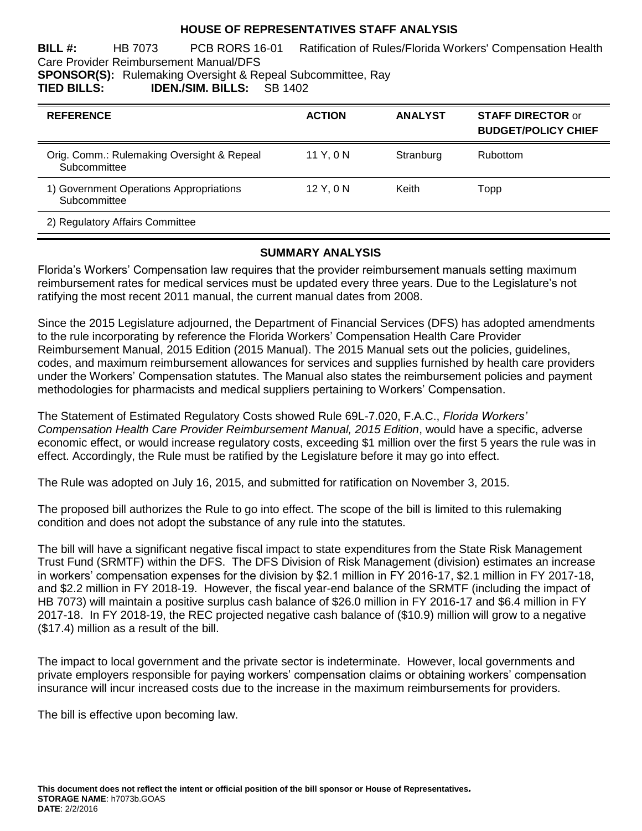## **HOUSE OF REPRESENTATIVES STAFF ANALYSIS**

**BILL #:** HB 7073 PCB RORS 16-01 Ratification of Rules/Florida Workers' Compensation Health Care Provider Reimbursement Manual/DFS **SPONSOR(S):** Rulemaking Oversight & Repeal Subcommittee, Ray

**TIED BILLS: IDEN./SIM. BILLS:** SB 1402

| <b>REFERENCE</b>                                           | <b>ACTION</b> | <b>ANALYST</b> | <b>STAFF DIRECTOR or</b><br><b>BUDGET/POLICY CHIEF</b> |
|------------------------------------------------------------|---------------|----------------|--------------------------------------------------------|
| Orig. Comm.: Rulemaking Oversight & Repeal<br>Subcommittee | 11 Y.ON       | Stranburg      | Rubottom                                               |
| 1) Government Operations Appropriations<br>Subcommittee    | 12 Y, 0 N     | Keith          | Topp                                                   |
| 2) Regulatory Affairs Committee                            |               |                |                                                        |

#### **SUMMARY ANALYSIS**

Florida's Workers' Compensation law requires that the provider reimbursement manuals setting maximum reimbursement rates for medical services must be updated every three years. Due to the Legislature's not ratifying the most recent 2011 manual, the current manual dates from 2008.

Since the 2015 Legislature adjourned, the Department of Financial Services (DFS) has adopted amendments to the rule incorporating by reference the Florida Workers' Compensation Health Care Provider Reimbursement Manual, 2015 Edition (2015 Manual). The 2015 Manual sets out the policies, guidelines, codes, and maximum reimbursement allowances for services and supplies furnished by health care providers under the Workers' Compensation statutes. The Manual also states the reimbursement policies and payment methodologies for pharmacists and medical suppliers pertaining to Workers' Compensation.

The Statement of Estimated Regulatory Costs showed Rule 69L-7.020, F.A.C., *Florida Workers' Compensation Health Care Provider Reimbursement Manual, 2015 Edition*, would have a specific, adverse economic effect, or would increase regulatory costs, exceeding \$1 million over the first 5 years the rule was in effect. Accordingly, the Rule must be ratified by the Legislature before it may go into effect.

The Rule was adopted on July 16, 2015, and submitted for ratification on November 3, 2015.

The proposed bill authorizes the Rule to go into effect. The scope of the bill is limited to this rulemaking condition and does not adopt the substance of any rule into the statutes.

The bill will have a significant negative fiscal impact to state expenditures from the State Risk Management Trust Fund (SRMTF) within the DFS. The DFS Division of Risk Management (division) estimates an increase in workers' compensation expenses for the division by \$2.1 million in FY 2016-17, \$2.1 million in FY 2017-18, and \$2.2 million in FY 2018-19. However, the fiscal year-end balance of the SRMTF (including the impact of HB 7073) will maintain a positive surplus cash balance of \$26.0 million in FY 2016-17 and \$6.4 million in FY 2017-18. In FY 2018-19, the REC projected negative cash balance of (\$10.9) million will grow to a negative (\$17.4) million as a result of the bill.

The impact to local government and the private sector is indeterminate. However, local governments and private employers responsible for paying workers' compensation claims or obtaining workers' compensation insurance will incur increased costs due to the increase in the maximum reimbursements for providers.

The bill is effective upon becoming law.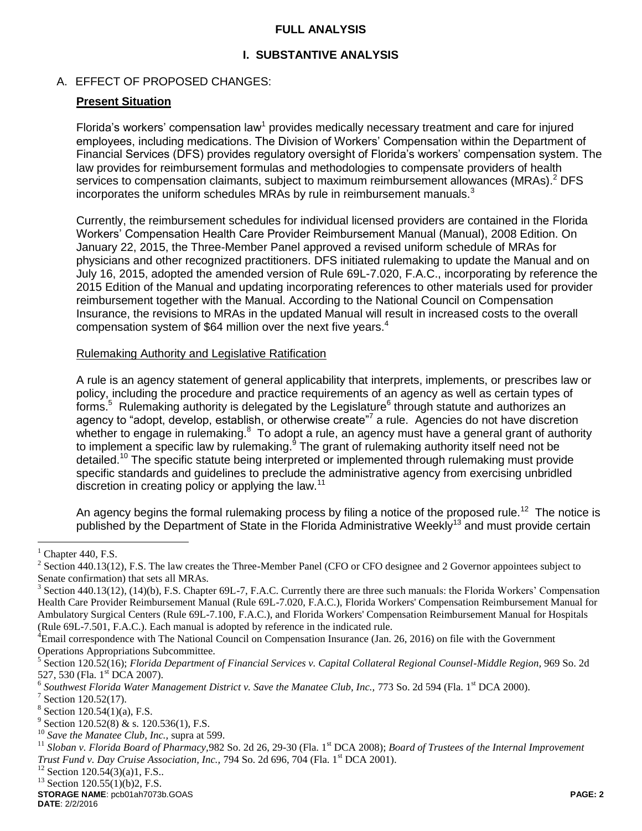## **FULL ANALYSIS**

## **I. SUBSTANTIVE ANALYSIS**

## A. EFFECT OF PROPOSED CHANGES:

## **Present Situation**

Florida's workers' compensation law<sup>1</sup> provides medically necessary treatment and care for injured employees, including medications. The Division of Workers' Compensation within the Department of Financial Services (DFS) provides regulatory oversight of Florida's workers' compensation system. The law provides for reimbursement formulas and methodologies to compensate providers of health services to compensation claimants, subject to maximum reimbursement allowances (MRAs).<sup>2</sup> DFS incorporates the uniform schedules MRAs by rule in reimbursement manuals. $3$ 

Currently, the reimbursement schedules for individual licensed providers are contained in the Florida Workers' Compensation Health Care Provider Reimbursement Manual (Manual), 2008 Edition. On January 22, 2015, the Three-Member Panel approved a revised uniform schedule of MRAs for physicians and other recognized practitioners. DFS initiated rulemaking to update the Manual and on July 16, 2015, adopted the amended version of Rule 69L-7.020, F.A.C., incorporating by reference the 2015 Edition of the Manual and updating incorporating references to other materials used for provider reimbursement together with the Manual. According to the National Council on Compensation Insurance, the revisions to MRAs in the updated Manual will result in increased costs to the overall compensation system of \$64 million over the next five years.<sup>4</sup>

### Rulemaking Authority and Legislative Ratification

A rule is an agency statement of general applicability that interprets, implements, or prescribes law or policy, including the procedure and practice requirements of an agency as well as certain types of forms.<sup>5</sup> Rulemaking authority is delegated by the Legislature<sup>6</sup> through statute and authorizes an agency to "adopt, develop, establish, or otherwise create"<sup>7</sup> a rule. Agencies do not have discretion whether to engage in rulemaking. $8$  To adopt a rule, an agency must have a general grant of authority to implement a specific law by rulemaking. $9$  The grant of rulemaking authority itself need not be detailed.<sup>10</sup> The specific statute being interpreted or implemented through rulemaking must provide specific standards and guidelines to preclude the administrative agency from exercising unbridled discretion in creating policy or applying the law.<sup>11</sup>

An agency begins the formal rulemaking process by filing a notice of the proposed rule.<sup>12</sup> The notice is published by the Department of State in the Florida Administrative Weekly<sup>13</sup> and must provide certain

 $\overline{a}$ 

**STORAGE NAME**: pcb01ah7073b.GOAS **PAGE: 2**

 $<sup>1</sup>$  Chapter 440, F.S.</sup>

<sup>&</sup>lt;sup>2</sup> Section 440.13(12), F.S. The law creates the Three-Member Panel (CFO or CFO designee and 2 Governor appointees subject to Senate confirmation) that sets all MRAs.

 $3$  Section 440.13(12), (14)(b), F.S. Chapter 69L-7, F.A.C. Currently there are three such manuals: the Florida Workers' Compensation Health Care Provider Reimbursement Manual (Rule 69L-7.020, F.A.C.), Florida Workers' Compensation Reimbursement Manual for Ambulatory Surgical Centers (Rule 69L-7.100, F.A.C.), and Florida Workers' Compensation Reimbursement Manual for Hospitals (Rule 69L-7.501, F.A.C.). Each manual is adopted by reference in the indicated rule.

<sup>&</sup>lt;sup>4</sup>Email correspondence with The National Council on Compensation Insurance (Jan. 26, 2016) on file with the Government Operations Appropriations Subcommittee.

<sup>&</sup>lt;sup>5</sup> Section 120.52(16); *Florida Department of Financial Services v. Capital Collateral Regional Counsel-Middle Region, 969 So. 2d* 527, 530 (Fla. 1<sup>st</sup> DCA 2007).

<sup>6</sup> *Southwest Florida Water Management District v. Save the Manatee Club, Inc., 773 So. 2d 594 (Fla. 1<sup>st</sup> DCA 2000).* 

<sup>&</sup>lt;sup>7</sup> Section 120.52(17).

 $8$  Section 120.54(1)(a), F.S.

<sup>&</sup>lt;sup>9</sup> Section 120.52(8) & s. 120.536(1), F.S.

<sup>10</sup> *Save the Manatee Club, Inc.,* supra at 599.

<sup>&</sup>lt;sup>11</sup> Sloban v. Florida Board of Pharmacy, 982 So. 2d 26, 29-30 (Fla. 1<sup>st</sup> DCA 2008); *Board of Trustees of the Internal Improvement Trust Fund v. Day Cruise Association, Inc., 794 So. 2d 696, 704 (Fla. 1<sup>st</sup> DCA 2001).* 

 $12$  Section 120.54(3)(a)1, F.S..

 $13$  Section 120.55(1)(b)2, F.S.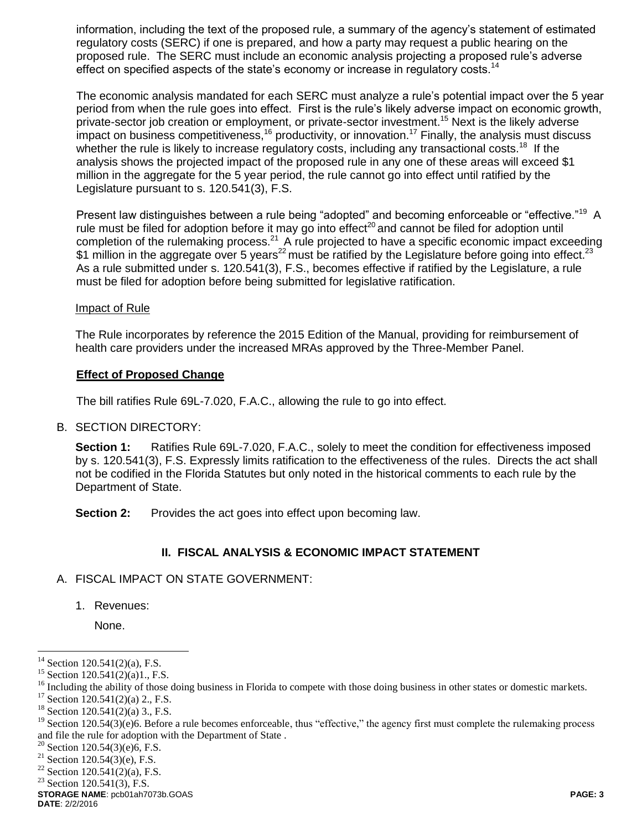information, including the text of the proposed rule, a summary of the agency's statement of estimated regulatory costs (SERC) if one is prepared, and how a party may request a public hearing on the proposed rule. The SERC must include an economic analysis projecting a proposed rule's adverse effect on specified aspects of the state's economy or increase in regulatory costs.<sup>14</sup>

The economic analysis mandated for each SERC must analyze a rule's potential impact over the 5 year period from when the rule goes into effect. First is the rule's likely adverse impact on economic growth, private-sector job creation or employment, or private-sector investment.<sup>15</sup> Next is the likely adverse impact on business competitiveness,  $16$  productivity, or innovation.  $17$  Finally, the analysis must discuss whether the rule is likely to increase regulatory costs, including any transactional costs.<sup>18</sup> If the analysis shows the projected impact of the proposed rule in any one of these areas will exceed \$1 million in the aggregate for the 5 year period, the rule cannot go into effect until ratified by the Legislature pursuant to s. 120.541(3), F.S.

Present law distinguishes between a rule being "adopted" and becoming enforceable or "effective."<sup>19</sup> A rule must be filed for adoption before it may go into effect<sup>20</sup> and cannot be filed for adoption until completion of the rulemaking process.<sup>21</sup> A rule projected to have a specific economic impact exceeding \$1 million in the aggregate over 5 years<sup>22</sup> must be ratified by the Legislature before going into effect.<sup>23</sup> As a rule submitted under s. 120.541(3), F.S., becomes effective if ratified by the Legislature, a rule must be filed for adoption before being submitted for legislative ratification.

### Impact of Rule

The Rule incorporates by reference the 2015 Edition of the Manual, providing for reimbursement of health care providers under the increased MRAs approved by the Three-Member Panel.

### **Effect of Proposed Change**

The bill ratifies Rule 69L-7.020, F.A.C., allowing the rule to go into effect.

#### B. SECTION DIRECTORY:

**Section 1:** Ratifies Rule 69L-7.020, F.A.C., solely to meet the condition for effectiveness imposed by s. 120.541(3), F.S. Expressly limits ratification to the effectiveness of the rules. Directs the act shall not be codified in the Florida Statutes but only noted in the historical comments to each rule by the Department of State.

**Section 2:** Provides the act goes into effect upon becoming law.

## **II. FISCAL ANALYSIS & ECONOMIC IMPACT STATEMENT**

#### A. FISCAL IMPACT ON STATE GOVERNMENT:

1. Revenues:

None.

**STORAGE NAME**: pcb01ah7073b.GOAS **PAGE: 3**

 $\overline{a}$ 

 $14$  Section 120.541(2)(a), F.S.

<sup>&</sup>lt;sup>15</sup> Section 120.541(2)(a)1., F.S.

<sup>&</sup>lt;sup>16</sup> Including the ability of those doing business in Florida to compete with those doing business in other states or domestic markets.

 $17$  Section 120.541(2)(a) 2., F.S.

 $18$  Section 120.541(2)(a) 3., F.S.

 $19$  Section 120.54(3)(e)6. Before a rule becomes enforceable, thus "effective," the agency first must complete the rulemaking process and file the rule for adoption with the Department of State .

<sup>&</sup>lt;sup>20</sup> Section 120.54(3)(e)6, F.S.

<sup>&</sup>lt;sup>21</sup> Section 120.54(3)(e), F.S.

<sup>&</sup>lt;sup>22</sup> Section 120.541(2)(a), F.S.

 $23$  Section 120.541(3), F.S.

**DATE**: 2/2/2016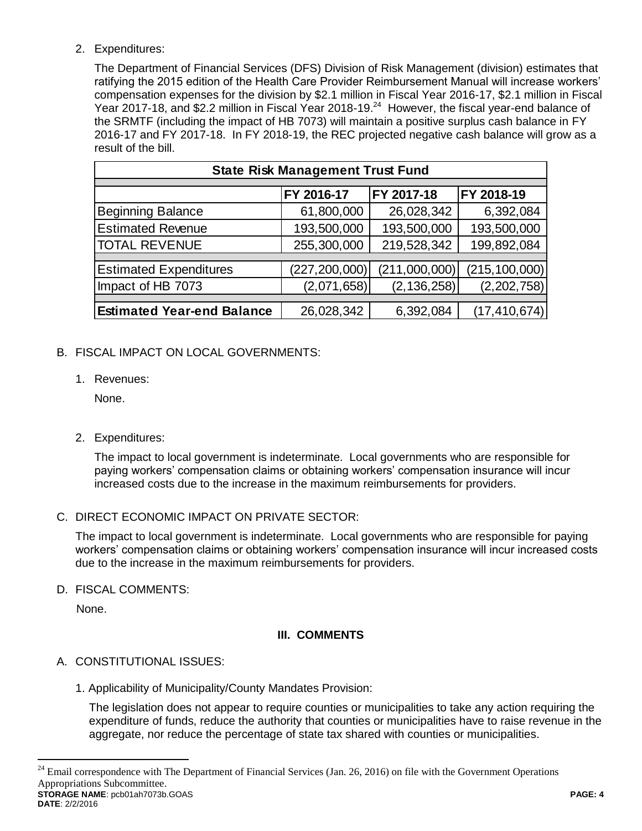## 2. Expenditures:

The Department of Financial Services (DFS) Division of Risk Management (division) estimates that ratifying the 2015 edition of the Health Care Provider Reimbursement Manual will increase workers' compensation expenses for the division by \$2.1 million in Fiscal Year 2016-17, \$2.1 million in Fiscal Year 2017-18, and \$2.2 million in Fiscal Year 2018-19.<sup>24</sup> However, the fiscal year-end balance of the SRMTF (including the impact of HB 7073) will maintain a positive surplus cash balance in FY 2016-17 and FY 2017-18. In FY 2018-19, the REC projected negative cash balance will grow as a result of the bill.

| <b>State Risk Management Trust Fund</b> |                 |               |                 |  |  |  |
|-----------------------------------------|-----------------|---------------|-----------------|--|--|--|
|                                         |                 |               |                 |  |  |  |
|                                         | FY 2016-17      | FY 2017-18    | FY 2018-19      |  |  |  |
| <b>Beginning Balance</b>                | 61,800,000      | 26,028,342    | 6,392,084       |  |  |  |
| <b>Estimated Revenue</b>                | 193,500,000     | 193,500,000   | 193,500,000     |  |  |  |
| <b>TOTAL REVENUE</b>                    | 255,300,000     | 219,528,342   | 199,892,084     |  |  |  |
|                                         |                 |               |                 |  |  |  |
| <b>Estimated Expenditures</b>           | (227, 200, 000) | (211,000,000) | (215, 100, 000) |  |  |  |
| Impact of HB 7073                       | (2,071,658)     | (2, 136, 258) | (2, 202, 758)   |  |  |  |
|                                         |                 |               |                 |  |  |  |
| <b>Estimated Year-end Balance</b>       | 26,028,342      | 6,392,084     | (17, 410, 674)  |  |  |  |
|                                         |                 |               |                 |  |  |  |

# B. FISCAL IMPACT ON LOCAL GOVERNMENTS:

1. Revenues:

None.

2. Expenditures:

The impact to local government is indeterminate. Local governments who are responsible for paying workers' compensation claims or obtaining workers' compensation insurance will incur increased costs due to the increase in the maximum reimbursements for providers.

## C. DIRECT ECONOMIC IMPACT ON PRIVATE SECTOR:

The impact to local government is indeterminate. Local governments who are responsible for paying workers' compensation claims or obtaining workers' compensation insurance will incur increased costs due to the increase in the maximum reimbursements for providers.

D. FISCAL COMMENTS:

None.

# **III. COMMENTS**

# A. CONSTITUTIONAL ISSUES:

1. Applicability of Municipality/County Mandates Provision:

The legislation does not appear to require counties or municipalities to take any action requiring the expenditure of funds, reduce the authority that counties or municipalities have to raise revenue in the aggregate, nor reduce the percentage of state tax shared with counties or municipalities.

**STORAGE NAME**: pcb01ah7073b.GOAS **PAGE: 4**  $24$  Email correspondence with The Department of Financial Services (Jan. 26, 2016) on file with the Government Operations Appropriations Subcommittee.

 $\overline{a}$